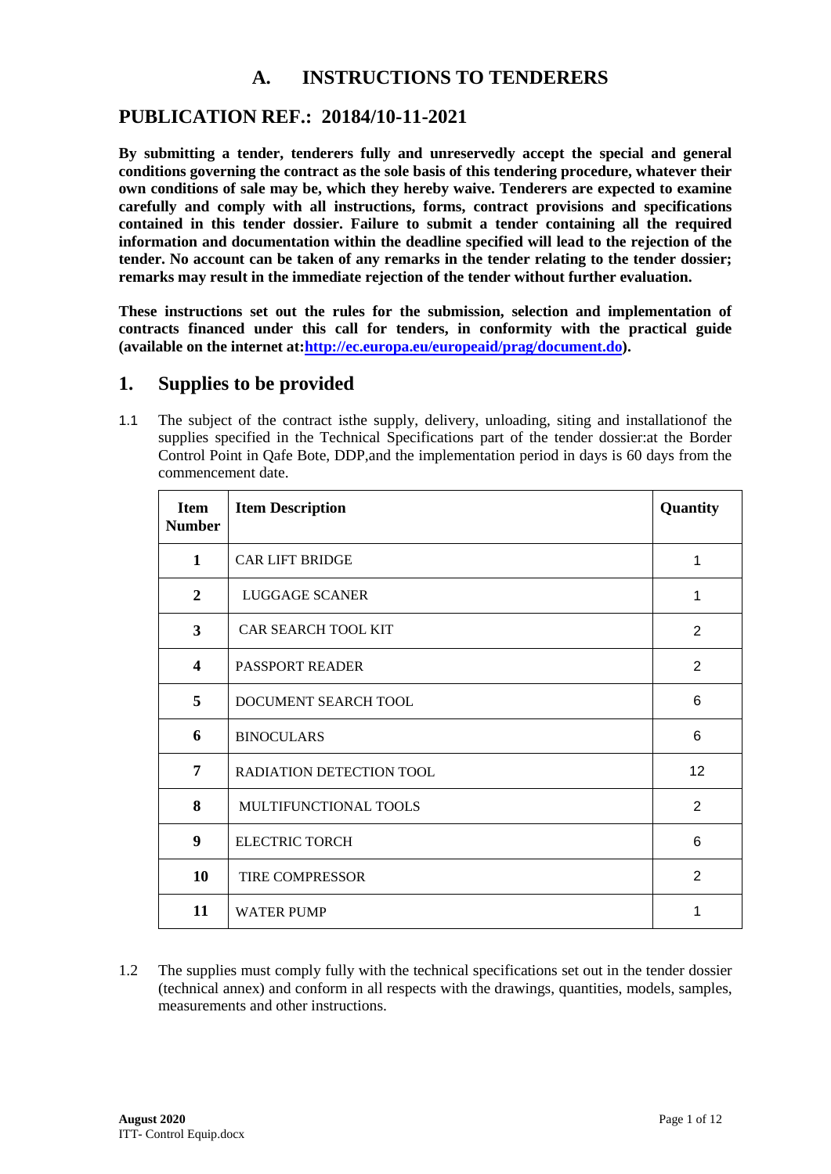# **A. INSTRUCTIONS TO TENDERERS**

## **PUBLICATION REF.: 20184/10-11-2021**

**By submitting a tender, tenderers fully and unreservedly accept the special and general conditions governing the contract as the sole basis of this tendering procedure, whatever their own conditions of sale may be, which they hereby waive. Tenderers are expected to examine carefully and comply with all instructions, forms, contract provisions and specifications contained in this tender dossier. Failure to submit a tender containing all the required information and documentation within the deadline specified will lead to the rejection of the tender. No account can be taken of any remarks in the tender relating to the tender dossier; remarks may result in the immediate rejection of the tender without further evaluation.**

**These instructions set out the rules for the submission, selection and implementation of contracts financed under this call for tenders, in conformity with the practical guide (available on the internet at[:http://ec.europa.eu/europeaid/prag/document.do\)](http://ec.europa.eu/europeaid/prag/document.do).**

### **1. Supplies to be provided**

1.1 The subject of the contract isthe supply, delivery, unloading, siting and installationof the supplies specified in the Technical Specifications part of the tender dossier:at the Border Control Point in Qafe Bote, DDP,and the implementation period in days is 60 days from the commencement date.

| <b>Item</b><br><b>Number</b> | <b>Item Description</b>         | Quantity        |
|------------------------------|---------------------------------|-----------------|
| $\mathbf{1}$                 | <b>CAR LIFT BRIDGE</b>          | 1               |
| $\overline{2}$               | LUGGAGE SCANER                  | 1               |
| $\mathbf{3}$                 | <b>CAR SEARCH TOOL KIT</b>      | 2               |
| $\overline{\mathbf{4}}$      | <b>PASSPORT READER</b>          | 2               |
| 5                            | DOCUMENT SEARCH TOOL            | 6               |
| 6                            | <b>BINOCULARS</b>               | 6               |
| 7                            | <b>RADIATION DETECTION TOOL</b> | 12 <sup>°</sup> |
| 8                            | MULTIFUNCTIONAL TOOLS           | $\overline{2}$  |
| 9                            | <b>ELECTRIC TORCH</b>           | 6               |
| 10                           | <b>TIRE COMPRESSOR</b>          | 2               |
| 11                           | <b>WATER PUMP</b>               | 1               |

1.2 The supplies must comply fully with the technical specifications set out in the tender dossier (technical annex) and conform in all respects with the drawings, quantities, models, samples, measurements and other instructions.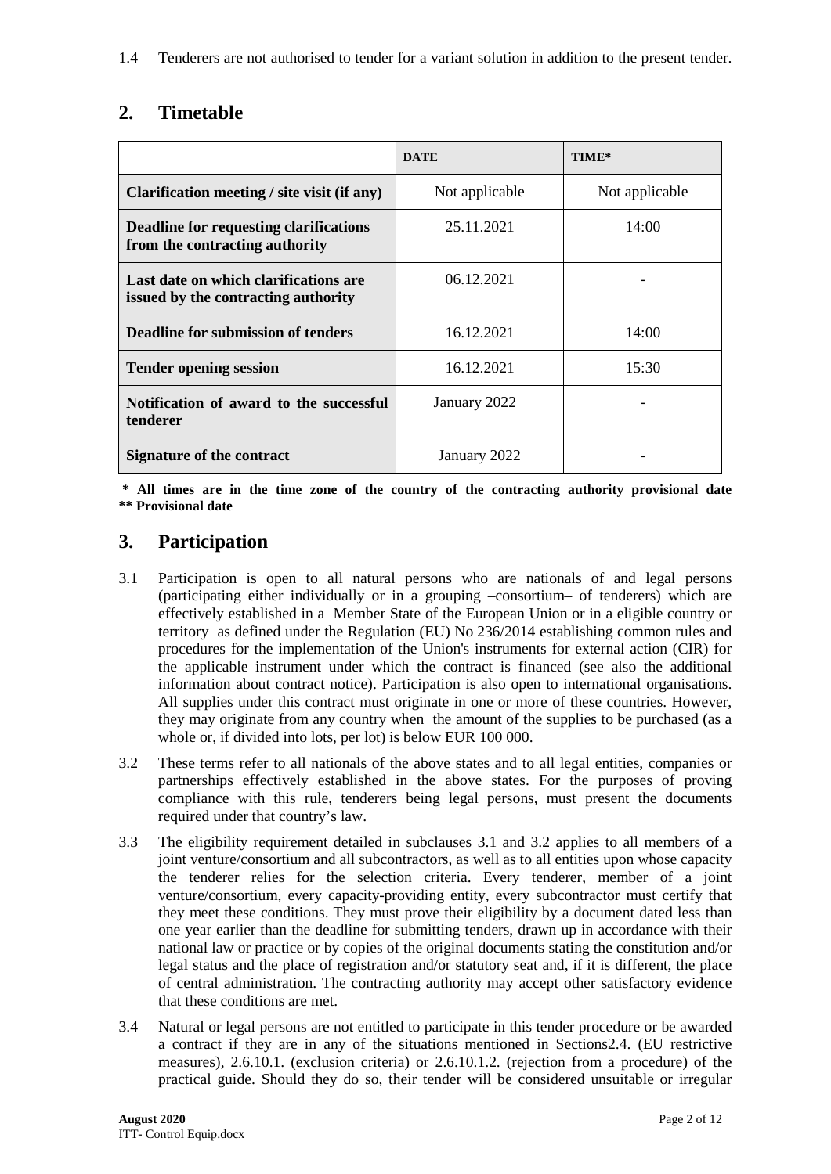1.4 Tenderers are not authorised to tender for a variant solution in addition to the present tender.

# **2. Timetable**

|                                                                              | <b>DATE</b>    | TIME*          |
|------------------------------------------------------------------------------|----------------|----------------|
| Clarification meeting / site visit (if any)                                  | Not applicable | Not applicable |
| Deadline for requesting clarifications<br>from the contracting authority     | 25.11.2021     | 14:00          |
| Last date on which clarifications are<br>issued by the contracting authority | 06.12.2021     |                |
| <b>Deadline for submission of tenders</b>                                    | 16.12.2021     | 14:00          |
| <b>Tender opening session</b>                                                | 16.12.2021     | 15:30          |
| Notification of award to the successful<br>tenderer                          | January 2022   |                |
| Signature of the contract                                                    | January 2022   |                |

**\* All times are in the time zone of the country of the contracting authority provisional date \*\* Provisional date**

# **3. Participation**

- 3.1 Participation is open to all natural persons who are nationals of and legal persons (participating either individually or in a grouping –consortium– of tenderers) which are effectively established in a Member State of the European Union or in a eligible country or territory as defined under the Regulation (EU) No 236/2014 establishing common rules and procedures for the implementation of the Union's instruments for external action (CIR) for the applicable instrument under which the contract is financed (see also the additional information about contract notice). Participation is also open to international organisations. All supplies under this contract must originate in one or more of these countries. However, they may originate from any country when the amount of the supplies to be purchased (as a whole or, if divided into lots, per lot) is below EUR 100 000.
- 3.2 These terms refer to all nationals of the above states and to all legal entities, companies or partnerships effectively established in the above states. For the purposes of proving compliance with this rule, tenderers being legal persons, must present the documents required under that country's law.
- 3.3 The eligibility requirement detailed in subclauses 3.1 and 3.2 applies to all members of a joint venture/consortium and all subcontractors, as well as to all entities upon whose capacity the tenderer relies for the selection criteria. Every tenderer, member of a joint venture/consortium, every capacity-providing entity, every subcontractor must certify that they meet these conditions. They must prove their eligibility by a document dated less than one year earlier than the deadline for submitting tenders, drawn up in accordance with their national law or practice or by copies of the original documents stating the constitution and/or legal status and the place of registration and/or statutory seat and, if it is different, the place of central administration. The contracting authority may accept other satisfactory evidence that these conditions are met.
- 3.4 Natural or legal persons are not entitled to participate in this tender procedure or be awarded a contract if they are in any of the situations mentioned in Sections2.4. (EU restrictive measures), 2.6.10.1. (exclusion criteria) or 2.6.10.1.2. (rejection from a procedure) of the practical guide. Should they do so, their tender will be considered unsuitable or irregular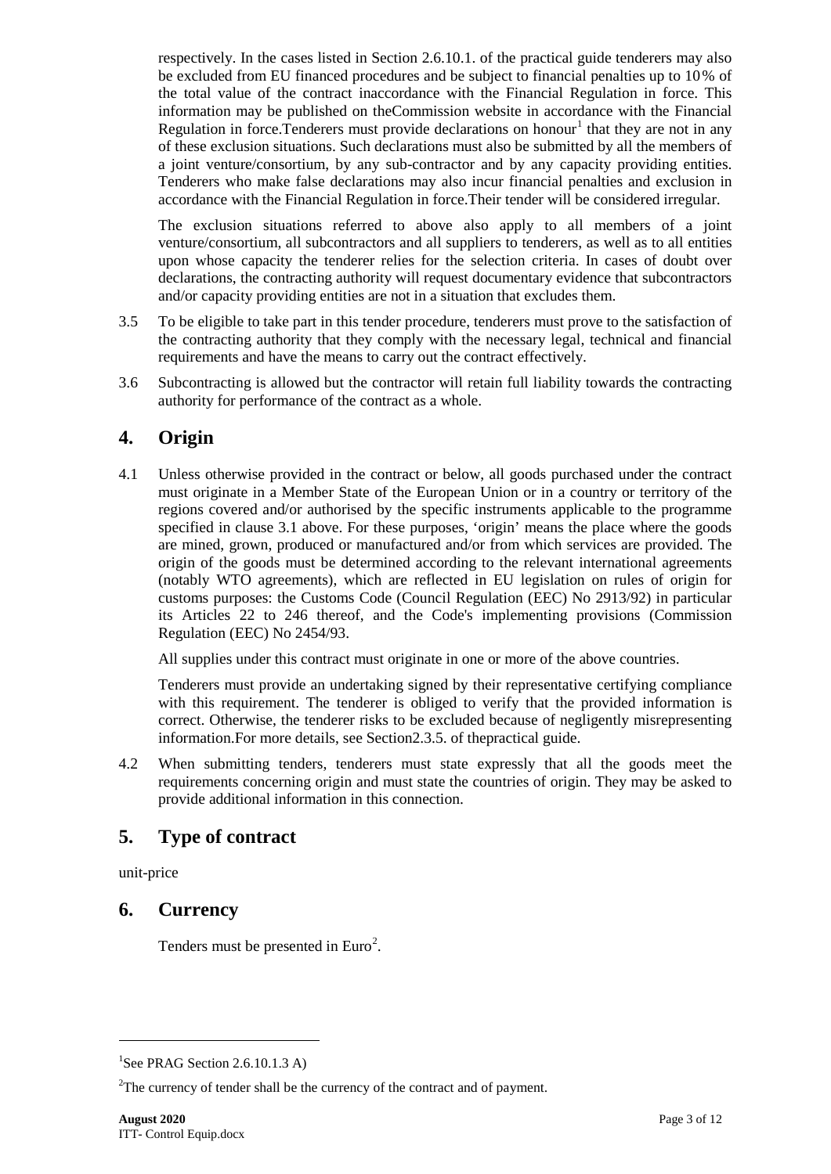respectively. In the cases listed in Section 2.6.10.1. of the practical guide tenderers may also be excluded from EU financed procedures and be subject to financial penalties up to 10% of the total value of the contract inaccordance with the Financial Regulation in force. This information may be published on theCommission website in accordance with the Financial Regulation in force. Tenderers must provide declarations on honour<sup>[1](#page-2-0)</sup> that they are not in any of these exclusion situations. Such declarations must also be submitted by all the members of a joint venture/consortium, by any sub-contractor and by any capacity providing entities. Tenderers who make false declarations may also incur financial penalties and exclusion in accordance with the Financial Regulation in force.Their tender will be considered irregular.

The exclusion situations referred to above also apply to all members of a joint venture/consortium, all subcontractors and all suppliers to tenderers, as well as to all entities upon whose capacity the tenderer relies for the selection criteria. In cases of doubt over declarations, the contracting authority will request documentary evidence that subcontractors and/or capacity providing entities are not in a situation that excludes them.

- 3.5 To be eligible to take part in this tender procedure, tenderers must prove to the satisfaction of the contracting authority that they comply with the necessary legal, technical and financial requirements and have the means to carry out the contract effectively.
- 3.6 Subcontracting is allowed but the contractor will retain full liability towards the contracting authority for performance of the contract as a whole.

# **4. Origin**

4.1 Unless otherwise provided in the contract or below, all goods purchased under the contract must originate in a Member State of the European Union or in a country or territory of the regions covered and/or authorised by the specific instruments applicable to the programme specified in clause 3.1 above. For these purposes, 'origin' means the place where the goods are mined, grown, produced or manufactured and/or from which services are provided. The origin of the goods must be determined according to the relevant international agreements (notably WTO agreements), which are reflected in EU legislation on rules of origin for customs purposes: the Customs Code (Council Regulation (EEC) No 2913/92) in particular its Articles 22 to 246 thereof, and the Code's implementing provisions (Commission Regulation (EEC) No 2454/93.

All supplies under this contract must originate in one or more of the above countries.

Tenderers must provide an undertaking signed by their representative certifying compliance with this requirement. The tenderer is obliged to verify that the provided information is correct. Otherwise, the tenderer risks to be excluded because of negligently misrepresenting information.For more details, see Section2.3.5. of thepractical guide.

4.2 When submitting tenders, tenderers must state expressly that all the goods meet the requirements concerning origin and must state the countries of origin. They may be asked to provide additional information in this connection.

# **5. Type of contract**

unit-price

-

## **6. Currency**

Tenders must be presented in  $Euro<sup>2</sup>$  $Euro<sup>2</sup>$  $Euro<sup>2</sup>$ .

<span id="page-2-0"></span><sup>&</sup>lt;sup>1</sup>See PRAG Section 2.6.10.1.3 A)

<span id="page-2-1"></span> $2$ The currency of tender shall be the currency of the contract and of payment.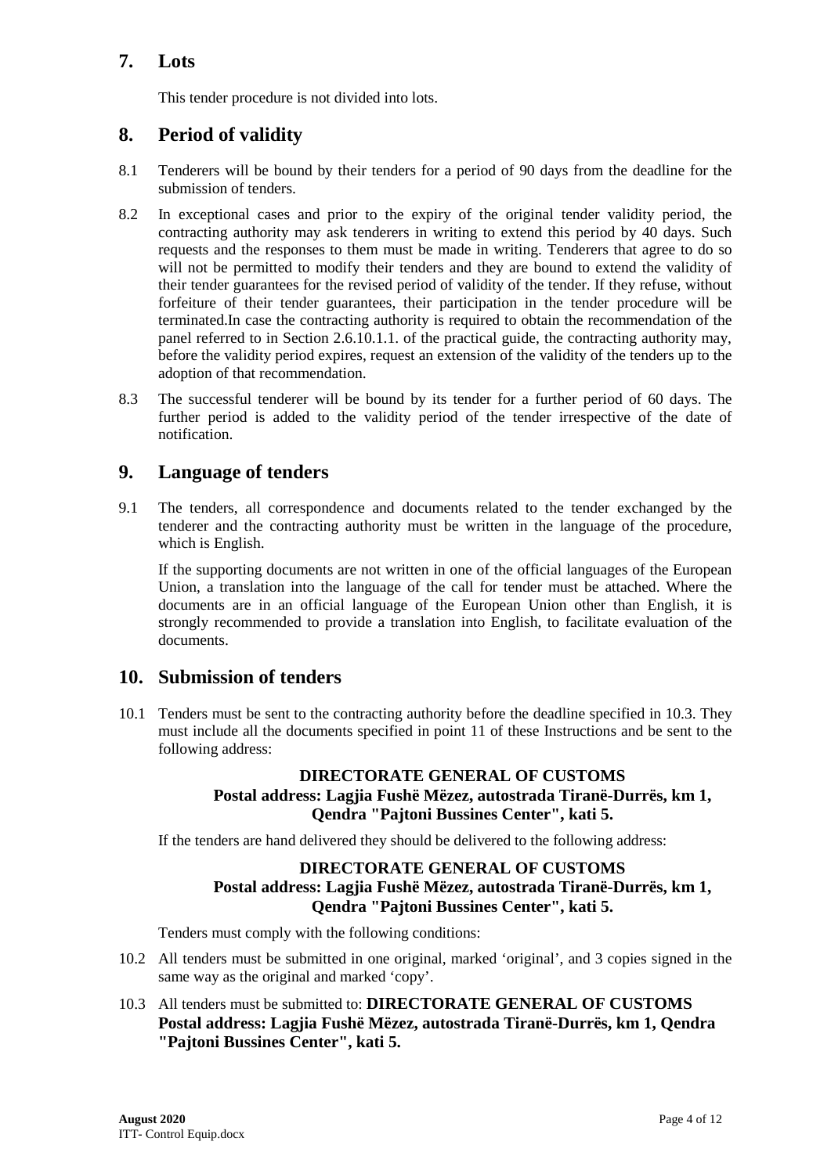# **7. Lots**

This tender procedure is not divided into lots.

## **8. Period of validity**

- 8.1 Tenderers will be bound by their tenders for a period of 90 days from the deadline for the submission of tenders.
- 8.2 In exceptional cases and prior to the expiry of the original tender validity period, the contracting authority may ask tenderers in writing to extend this period by 40 days. Such requests and the responses to them must be made in writing. Tenderers that agree to do so will not be permitted to modify their tenders and they are bound to extend the validity of their tender guarantees for the revised period of validity of the tender. If they refuse, without forfeiture of their tender guarantees, their participation in the tender procedure will be terminated.In case the contracting authority is required to obtain the recommendation of the panel referred to in Section 2.6.10.1.1. of the practical guide, the contracting authority may, before the validity period expires, request an extension of the validity of the tenders up to the adoption of that recommendation.
- 8.3 The successful tenderer will be bound by its tender for a further period of 60 days. The further period is added to the validity period of the tender irrespective of the date of notification.

### **9. Language of tenders**

9.1 The tenders, all correspondence and documents related to the tender exchanged by the tenderer and the contracting authority must be written in the language of the procedure, which is English.

If the supporting documents are not written in one of the official languages of the European Union, a translation into the language of the call for tender must be attached. Where the documents are in an official language of the European Union other than English, it is strongly recommended to provide a translation into English, to facilitate evaluation of the documents.

### **10. Submission of tenders**

10.1 Tenders must be sent to the contracting authority before the deadline specified in 10.3. They must include all the documents specified in point 11 of these Instructions and be sent to the following address:

### **DIRECTORATE GENERAL OF CUSTOMS Postal address: Lagjia Fushë Mëzez, autostrada Tiranë-Durrës, km 1, Qendra "Pajtoni Bussines Center", kati 5.**

If the tenders are hand delivered they should be delivered to the following address:

#### **DIRECTORATE GENERAL OF CUSTOMS Postal address: Lagjia Fushë Mëzez, autostrada Tiranë-Durrës, km 1, Qendra "Pajtoni Bussines Center", kati 5.**

Tenders must comply with the following conditions:

- 10.2 All tenders must be submitted in one original, marked 'original', and 3 copies signed in the same way as the original and marked 'copy'.
- 10.3 All tenders must be submitted to: **DIRECTORATE GENERAL OF CUSTOMS Postal address: Lagjia Fushë Mëzez, autostrada Tiranë-Durrës, km 1, Qendra "Pajtoni Bussines Center", kati 5.**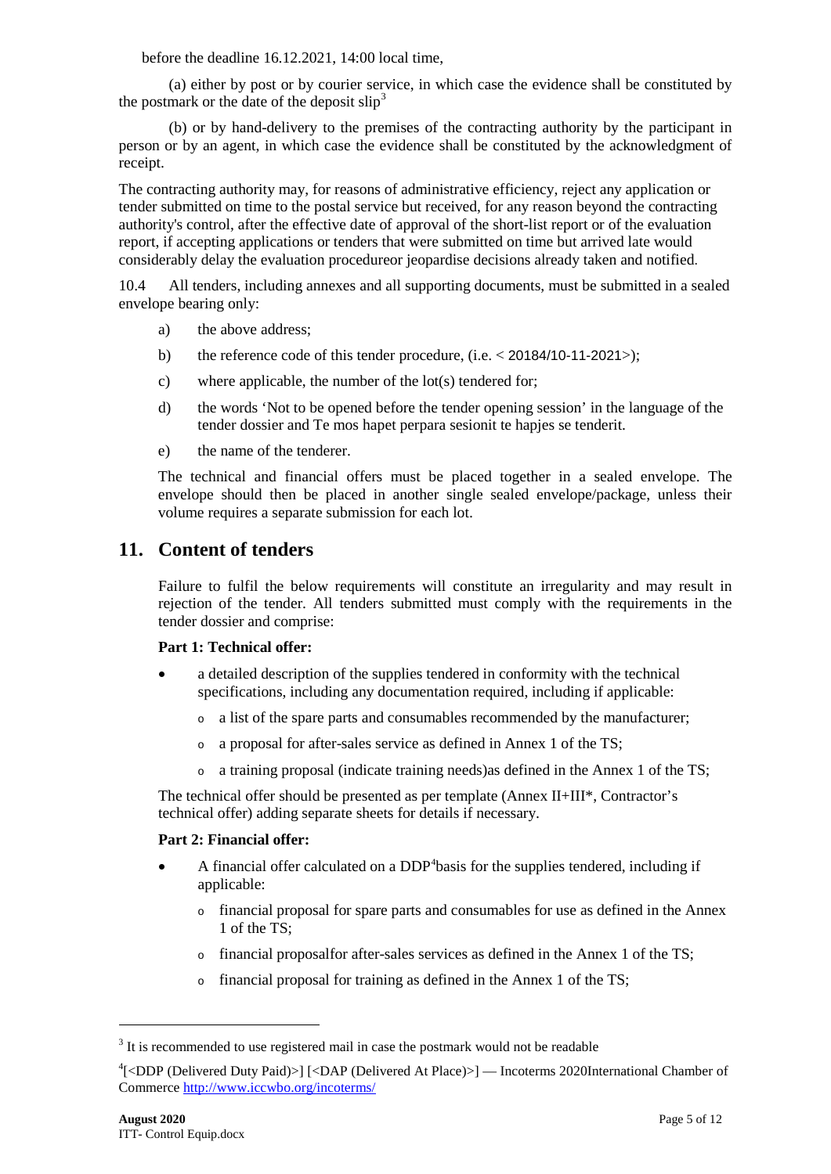before the deadline 16.12.2021, 14:00 local time,

(a) either by post or by courier service, in which case the evidence shall be constituted by the postmark or the date of the deposit slip<sup>[3](#page-4-0)</sup>

(b) or by hand-delivery to the premises of the contracting authority by the participant in person or by an agent, in which case the evidence shall be constituted by the acknowledgment of receipt.

The contracting authority may, for reasons of administrative efficiency, reject any application or tender submitted on time to the postal service but received, for any reason beyond the contracting authority's control, after the effective date of approval of the short-list report or of the evaluation report, if accepting applications or tenders that were submitted on time but arrived late would considerably delay the evaluation procedureor jeopardise decisions already taken and notified.

10.4 All tenders, including annexes and all supporting documents, must be submitted in a sealed envelope bearing only:

- a) the above address;
- b) the reference code of this tender procedure, (i.e. < 20184/10-11-2021>);
- c) where applicable, the number of the lot(s) tendered for;
- d) the words 'Not to be opened before the tender opening session' in the language of the tender dossier and Te mos hapet perpara sesionit te hapjes se tenderit.
- e) the name of the tenderer.

The technical and financial offers must be placed together in a sealed envelope. The envelope should then be placed in another single sealed envelope/package, unless their volume requires a separate submission for each lot.

## **11. Content of tenders**

Failure to fulfil the below requirements will constitute an irregularity and may result in rejection of the tender. All tenders submitted must comply with the requirements in the tender dossier and comprise:

#### **Part 1: Technical offer:**

- a detailed description of the supplies tendered in conformity with the technical specifications, including any documentation required, including if applicable:
	- <sup>o</sup> a list of the spare parts and consumables recommended by the manufacturer;
	- <sup>o</sup> a proposal for after-sales service as defined in Annex 1 of the TS;
	- <sup>o</sup> a training proposal (indicate training needs)as defined in the Annex 1 of the TS;

The technical offer should be presented as per template (Annex II+III\*, Contractor's technical offer) adding separate sheets for details if necessary.

#### **Part 2: Financial offer:**

- A financial offer calculated on a DDP<sup>[4](#page-4-1)</sup>basis for the supplies tendered, including if applicable:
	- <sup>o</sup> financial proposal for spare parts and consumables for use as defined in the Annex 1 of the TS;
	- <sup>o</sup> financial proposalfor after-sales services as defined in the Annex 1 of the TS;
	- <sup>o</sup> financial proposal for training as defined in the Annex 1 of the TS;

-

<span id="page-4-0"></span> $3$  It is recommended to use registered mail in case the postmark would not be readable

<span id="page-4-1"></span><sup>4</sup> [<DDP (Delivered Duty Paid)>] [<DAP (Delivered At Place)>] — Incoterms 2020International Chamber of Commerce<http://www.iccwbo.org/incoterms/>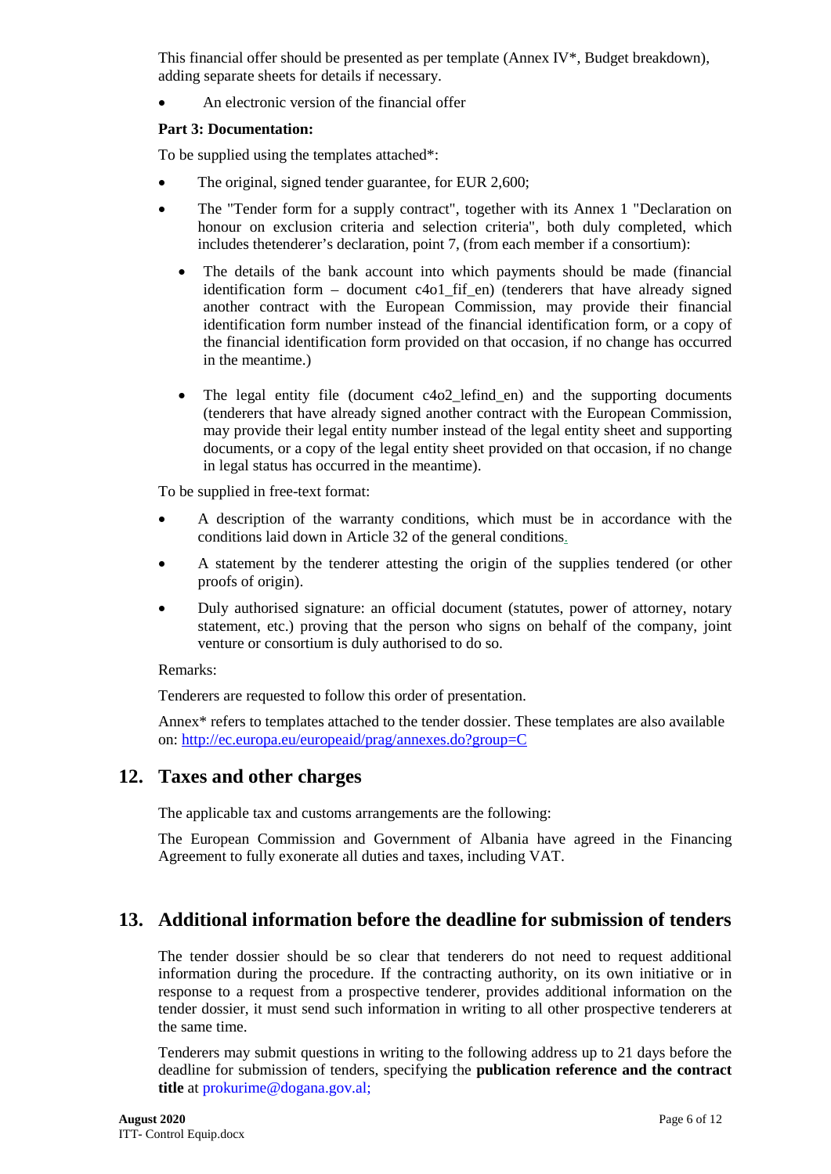This financial offer should be presented as per template (Annex IV $^*$ , Budget breakdown), adding separate sheets for details if necessary.

• An electronic version of the financial offer

#### **Part 3: Documentation:**

To be supplied using the templates attached\*:

- The original, signed tender guarantee, for EUR 2,600;
- The "Tender form for a supply contract", together with its Annex 1 "Declaration on honour on exclusion criteria and selection criteria", both duly completed, which includes thetenderer's declaration, point 7, (from each member if a consortium):
	- The details of the bank account into which payments should be made (financial identification form – document c4o1 fif en) (tenderers that have already signed another contract with the European Commission, may provide their financial identification form number instead of the financial identification form, or a copy of the financial identification form provided on that occasion, if no change has occurred in the meantime.)
	- The legal entity file (document  $c4o2$  lefind en) and the supporting documents (tenderers that have already signed another contract with the European Commission, may provide their legal entity number instead of the legal entity sheet and supporting documents, or a copy of the legal entity sheet provided on that occasion, if no change in legal status has occurred in the meantime).

To be supplied in free-text format:

- A description of the warranty conditions, which must be in accordance with the conditions laid down in Article 32 of the general conditions.
- A statement by the tenderer attesting the origin of the supplies tendered (or other proofs of origin).
- Duly authorised signature: an official document (statutes, power of attorney, notary statement, etc.) proving that the person who signs on behalf of the company, joint venture or consortium is duly authorised to do so.

#### Remarks:

Tenderers are requested to follow this order of presentation.

Annex\* refers to templates attached to the tender dossier. These templates are also available on:<http://ec.europa.eu/europeaid/prag/annexes.do?group=C>

## **12. Taxes and other charges**

The applicable tax and customs arrangements are the following:

The European Commission and Government of Albania have agreed in the Financing Agreement to fully exonerate all duties and taxes, including VAT.

# **13. Additional information before the deadline for submission of tenders**

The tender dossier should be so clear that tenderers do not need to request additional information during the procedure. If the contracting authority, on its own initiative or in response to a request from a prospective tenderer, provides additional information on the tender dossier, it must send such information in writing to all other prospective tenderers at the same time.

Tenderers may submit questions in writing to the following address up to 21 days before the deadline for submission of tenders, specifying the **publication reference and the contract title** at [prokurime@dogana.gov.al;](mailto:prokurime@dogana.gov.al)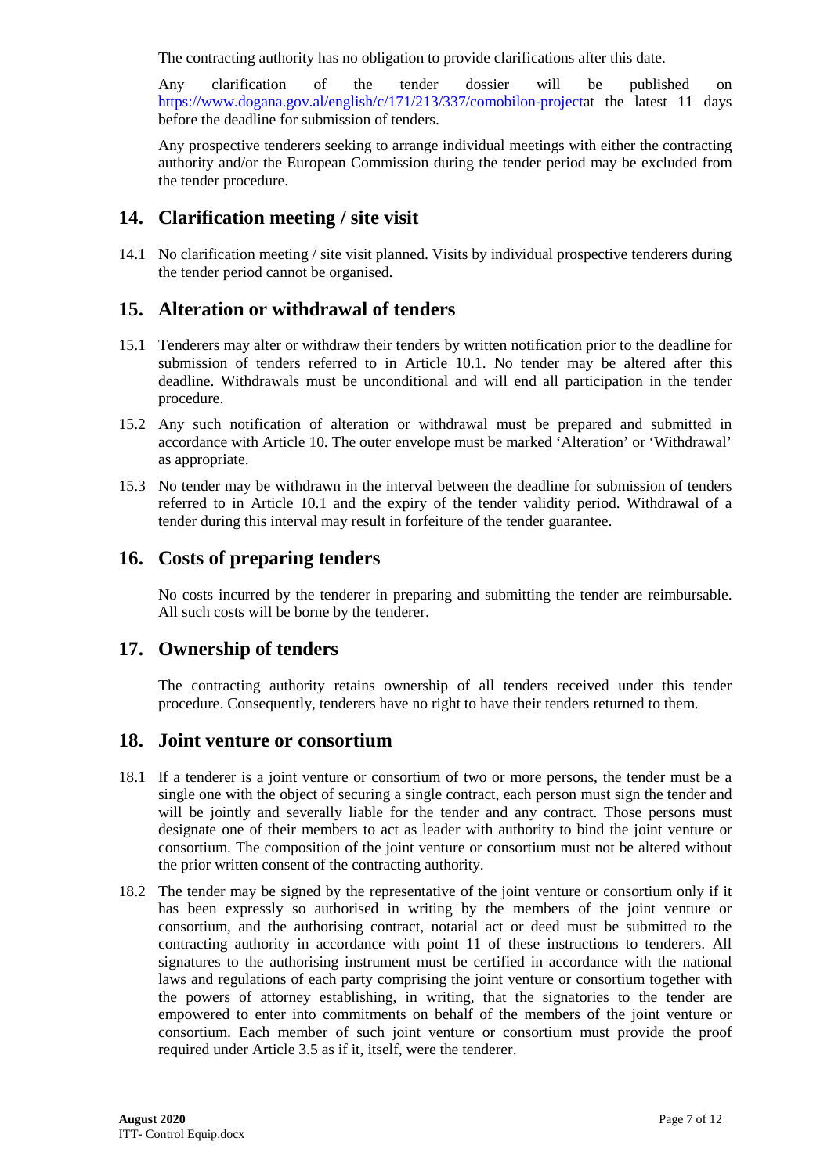The contracting authority has no obligation to provide clarifications after this date.

Any clarification of the tender dossier will be published on [https://www.dogana.gov.al/english/c/171/213/337/comobilon-projecta](https://www.dogana.gov.al/english/c/171/213/337/comobilon-project)t the latest 11 days before the deadline for submission of tenders.

Any prospective tenderers seeking to arrange individual meetings with either the contracting authority and/or the European Commission during the tender period may be excluded from the tender procedure.

# **14. Clarification meeting / site visit**

14.1 No clarification meeting / site visit planned. Visits by individual prospective tenderers during the tender period cannot be organised.

# **15. Alteration or withdrawal of tenders**

- 15.1 Tenderers may alter or withdraw their tenders by written notification prior to the deadline for submission of tenders referred to in Article 10.1. No tender may be altered after this deadline. Withdrawals must be unconditional and will end all participation in the tender procedure.
- 15.2 Any such notification of alteration or withdrawal must be prepared and submitted in accordance with Article 10. The outer envelope must be marked 'Alteration' or 'Withdrawal' as appropriate.
- 15.3 No tender may be withdrawn in the interval between the deadline for submission of tenders referred to in Article 10.1 and the expiry of the tender validity period. Withdrawal of a tender during this interval may result in forfeiture of the tender guarantee.

## **16. Costs of preparing tenders**

No costs incurred by the tenderer in preparing and submitting the tender are reimbursable. All such costs will be borne by the tenderer.

### **17. Ownership of tenders**

The contracting authority retains ownership of all tenders received under this tender procedure. Consequently, tenderers have no right to have their tenders returned to them.

### **18. Joint venture or consortium**

- 18.1 If a tenderer is a joint venture or consortium of two or more persons, the tender must be a single one with the object of securing a single contract, each person must sign the tender and will be jointly and severally liable for the tender and any contract. Those persons must designate one of their members to act as leader with authority to bind the joint venture or consortium. The composition of the joint venture or consortium must not be altered without the prior written consent of the contracting authority.
- 18.2 The tender may be signed by the representative of the joint venture or consortium only if it has been expressly so authorised in writing by the members of the joint venture or consortium, and the authorising contract, notarial act or deed must be submitted to the contracting authority in accordance with point 11 of these instructions to tenderers. All signatures to the authorising instrument must be certified in accordance with the national laws and regulations of each party comprising the joint venture or consortium together with the powers of attorney establishing, in writing, that the signatories to the tender are empowered to enter into commitments on behalf of the members of the joint venture or consortium. Each member of such joint venture or consortium must provide the proof required under Article 3.5 as if it, itself, were the tenderer.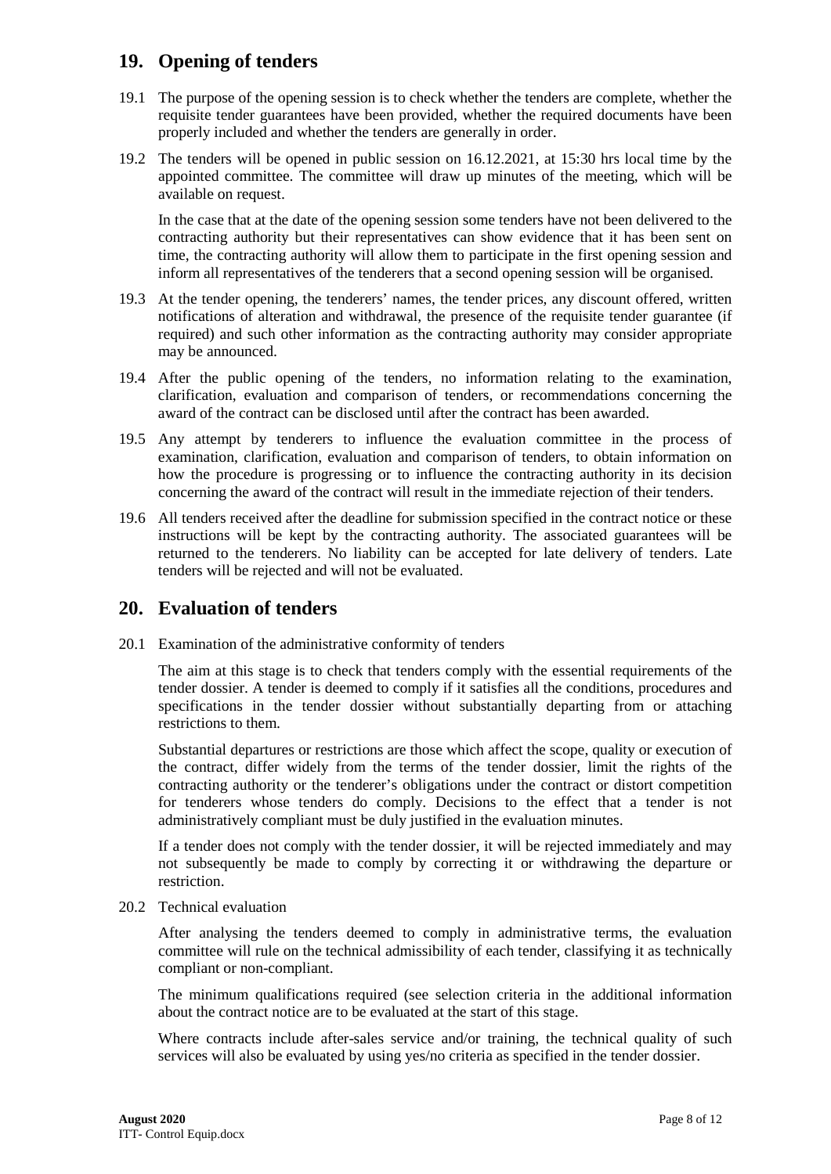### **19. Opening of tenders**

- 19.1 The purpose of the opening session is to check whether the tenders are complete, whether the requisite tender guarantees have been provided, whether the required documents have been properly included and whether the tenders are generally in order.
- 19.2 The tenders will be opened in public session on 16.12.2021, at 15:30 hrs local time by the appointed committee. The committee will draw up minutes of the meeting, which will be available on request.

In the case that at the date of the opening session some tenders have not been delivered to the contracting authority but their representatives can show evidence that it has been sent on time, the contracting authority will allow them to participate in the first opening session and inform all representatives of the tenderers that a second opening session will be organised.

- 19.3 At the tender opening, the tenderers' names, the tender prices, any discount offered, written notifications of alteration and withdrawal, the presence of the requisite tender guarantee (if required) and such other information as the contracting authority may consider appropriate may be announced.
- 19.4 After the public opening of the tenders, no information relating to the examination, clarification, evaluation and comparison of tenders, or recommendations concerning the award of the contract can be disclosed until after the contract has been awarded.
- 19.5 Any attempt by tenderers to influence the evaluation committee in the process of examination, clarification, evaluation and comparison of tenders, to obtain information on how the procedure is progressing or to influence the contracting authority in its decision concerning the award of the contract will result in the immediate rejection of their tenders.
- 19.6 All tenders received after the deadline for submission specified in the contract notice or these instructions will be kept by the contracting authority. The associated guarantees will be returned to the tenderers. No liability can be accepted for late delivery of tenders. Late tenders will be rejected and will not be evaluated.

### **20. Evaluation of tenders**

20.1 Examination of the administrative conformity of tenders

The aim at this stage is to check that tenders comply with the essential requirements of the tender dossier. A tender is deemed to comply if it satisfies all the conditions, procedures and specifications in the tender dossier without substantially departing from or attaching restrictions to them.

Substantial departures or restrictions are those which affect the scope, quality or execution of the contract, differ widely from the terms of the tender dossier, limit the rights of the contracting authority or the tenderer's obligations under the contract or distort competition for tenderers whose tenders do comply. Decisions to the effect that a tender is not administratively compliant must be duly justified in the evaluation minutes.

If a tender does not comply with the tender dossier, it will be rejected immediately and may not subsequently be made to comply by correcting it or withdrawing the departure or restriction.

20.2 Technical evaluation

After analysing the tenders deemed to comply in administrative terms, the evaluation committee will rule on the technical admissibility of each tender, classifying it as technically compliant or non-compliant.

The minimum qualifications required (see selection criteria in the additional information about the contract notice are to be evaluated at the start of this stage.

Where contracts include after-sales service and/or training, the technical quality of such services will also be evaluated by using yes/no criteria as specified in the tender dossier.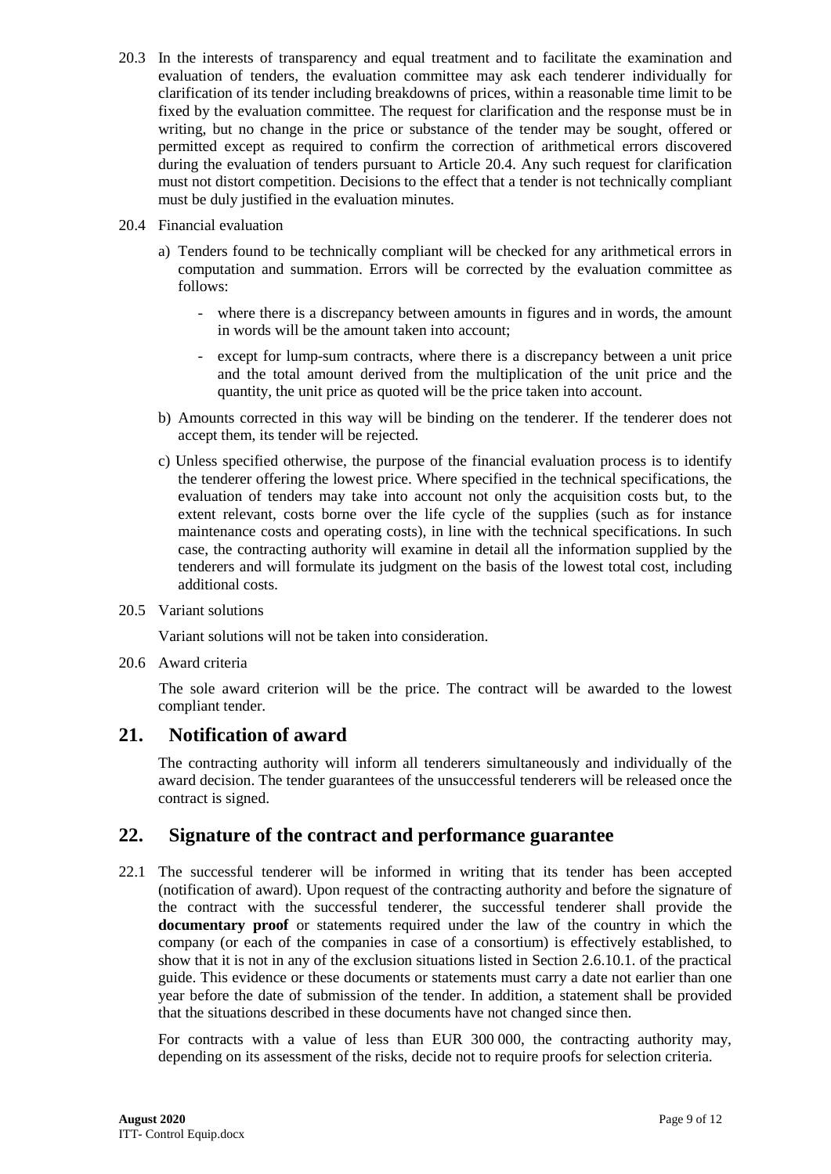- 20.3 In the interests of transparency and equal treatment and to facilitate the examination and evaluation of tenders, the evaluation committee may ask each tenderer individually for clarification of its tender including breakdowns of prices, within a reasonable time limit to be fixed by the evaluation committee. The request for clarification and the response must be in writing, but no change in the price or substance of the tender may be sought, offered or permitted except as required to confirm the correction of arithmetical errors discovered during the evaluation of tenders pursuant to Article 20.4. Any such request for clarification must not distort competition. Decisions to the effect that a tender is not technically compliant must be duly justified in the evaluation minutes.
- 20.4 Financial evaluation
	- a) Tenders found to be technically compliant will be checked for any arithmetical errors in computation and summation. Errors will be corrected by the evaluation committee as follows:
		- where there is a discrepancy between amounts in figures and in words, the amount in words will be the amount taken into account;
		- except for lump-sum contracts, where there is a discrepancy between a unit price and the total amount derived from the multiplication of the unit price and the quantity, the unit price as quoted will be the price taken into account.
	- b) Amounts corrected in this way will be binding on the tenderer. If the tenderer does not accept them, its tender will be rejected.
	- c) Unless specified otherwise, the purpose of the financial evaluation process is to identify the tenderer offering the lowest price. Where specified in the technical specifications, the evaluation of tenders may take into account not only the acquisition costs but, to the extent relevant, costs borne over the life cycle of the supplies (such as for instance maintenance costs and operating costs), in line with the technical specifications. In such case, the contracting authority will examine in detail all the information supplied by the tenderers and will formulate its judgment on the basis of the lowest total cost, including additional costs.
- 20.5 Variant solutions

Variant solutions will not be taken into consideration.

20.6 Award criteria

The sole award criterion will be the price. The contract will be awarded to the lowest compliant tender.

### **21. Notification of award**

The contracting authority will inform all tenderers simultaneously and individually of the award decision. The tender guarantees of the unsuccessful tenderers will be released once the contract is signed.

### **22. Signature of the contract and performance guarantee**

22.1 The successful tenderer will be informed in writing that its tender has been accepted (notification of award). Upon request of the contracting authority and before the signature of the contract with the successful tenderer, the successful tenderer shall provide the **documentary proof** or statements required under the law of the country in which the company (or each of the companies in case of a consortium) is effectively established, to show that it is not in any of the exclusion situations listed in Section 2.6.10.1. of the practical guide. This evidence or these documents or statements must carry a date not earlier than one year before the date of submission of the tender. In addition, a statement shall be provided that the situations described in these documents have not changed since then.

For contracts with a value of less than EUR 300 000, the contracting authority may, depending on its assessment of the risks, decide not to require proofs for selection criteria.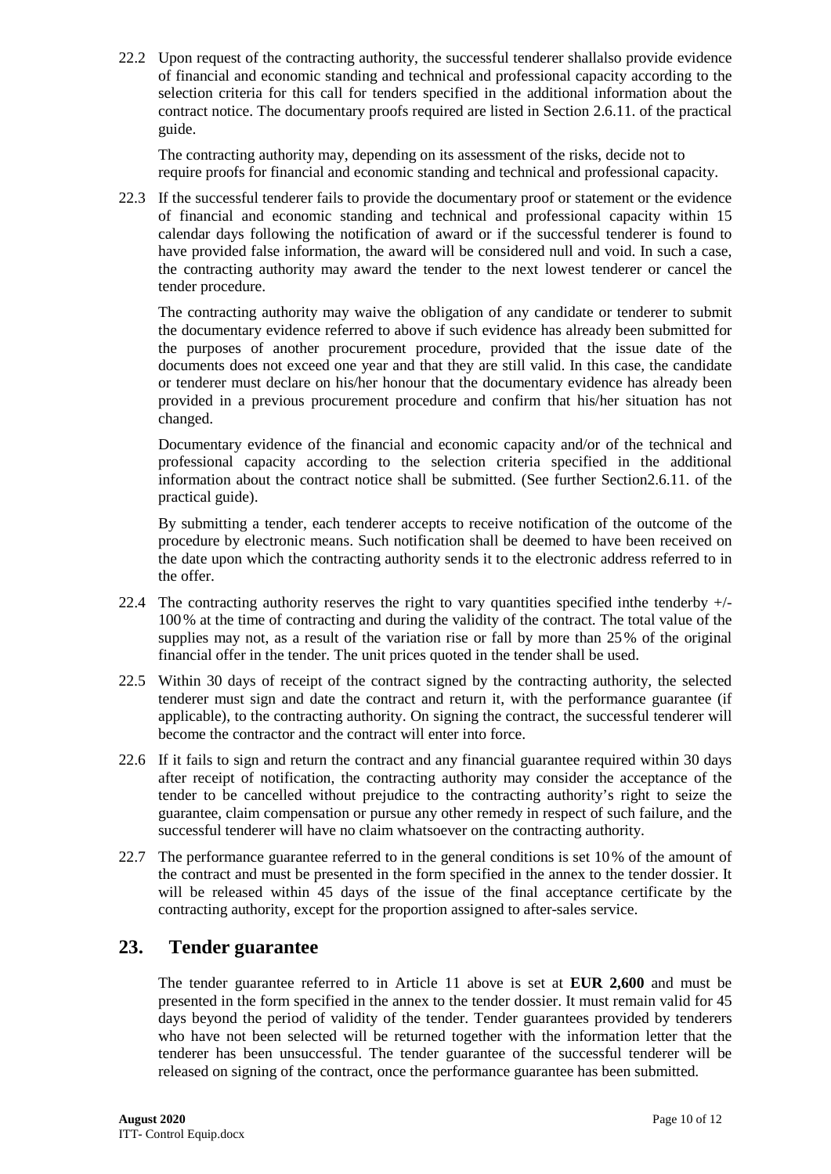22.2 Upon request of the contracting authority, the successful tenderer shallalso provide evidence of financial and economic standing and technical and professional capacity according to the selection criteria for this call for tenders specified in the additional information about the contract notice. The documentary proofs required are listed in Section 2.6.11. of the practical guide.

The contracting authority may, depending on its assessment of the risks, decide not to require proofs for financial and economic standing and technical and professional capacity.

22.3 If the successful tenderer fails to provide the documentary proof or statement or the evidence of financial and economic standing and technical and professional capacity within 15 calendar days following the notification of award or if the successful tenderer is found to have provided false information, the award will be considered null and void. In such a case, the contracting authority may award the tender to the next lowest tenderer or cancel the tender procedure.

The contracting authority may waive the obligation of any candidate or tenderer to submit the documentary evidence referred to above if such evidence has already been submitted for the purposes of another procurement procedure, provided that the issue date of the documents does not exceed one year and that they are still valid. In this case, the candidate or tenderer must declare on his/her honour that the documentary evidence has already been provided in a previous procurement procedure and confirm that his/her situation has not changed.

Documentary evidence of the financial and economic capacity and/or of the technical and professional capacity according to the selection criteria specified in the additional information about the contract notice shall be submitted. (See further Section2.6.11. of the practical guide).

By submitting a tender, each tenderer accepts to receive notification of the outcome of the procedure by electronic means. Such notification shall be deemed to have been received on the date upon which the contracting authority sends it to the electronic address referred to in the offer.

- 22.4 The contracting authority reserves the right to vary quantities specified in the tenderby  $+/-$ 100% at the time of contracting and during the validity of the contract. The total value of the supplies may not, as a result of the variation rise or fall by more than 25% of the original financial offer in the tender. The unit prices quoted in the tender shall be used.
- 22.5 Within 30 days of receipt of the contract signed by the contracting authority, the selected tenderer must sign and date the contract and return it, with the performance guarantee (if applicable), to the contracting authority. On signing the contract, the successful tenderer will become the contractor and the contract will enter into force.
- 22.6 If it fails to sign and return the contract and any financial guarantee required within 30 days after receipt of notification, the contracting authority may consider the acceptance of the tender to be cancelled without prejudice to the contracting authority's right to seize the guarantee, claim compensation or pursue any other remedy in respect of such failure, and the successful tenderer will have no claim whatsoever on the contracting authority.
- 22.7 The performance guarantee referred to in the general conditions is set 10% of the amount of the contract and must be presented in the form specified in the annex to the tender dossier. It will be released within 45 days of the issue of the final acceptance certificate by the contracting authority, except for the proportion assigned to after-sales service.

## **23. Tender guarantee**

The tender guarantee referred to in Article 11 above is set at **EUR 2,600** and must be presented in the form specified in the annex to the tender dossier. It must remain valid for 45 days beyond the period of validity of the tender. Tender guarantees provided by tenderers who have not been selected will be returned together with the information letter that the tenderer has been unsuccessful. The tender guarantee of the successful tenderer will be released on signing of the contract, once the performance guarantee has been submitted.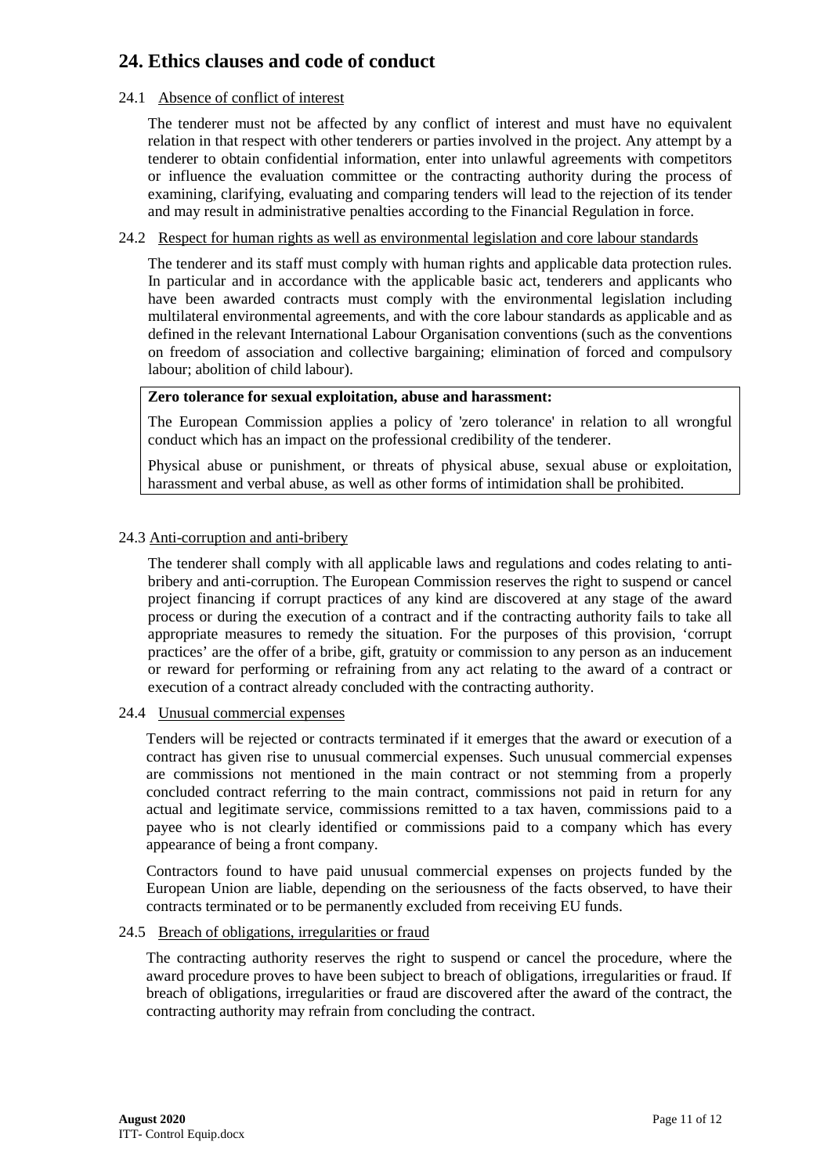# **24. Ethics clauses and code of conduct**

#### 24.1 Absence of conflict of interest

The tenderer must not be affected by any conflict of interest and must have no equivalent relation in that respect with other tenderers or parties involved in the project. Any attempt by a tenderer to obtain confidential information, enter into unlawful agreements with competitors or influence the evaluation committee or the contracting authority during the process of examining, clarifying, evaluating and comparing tenders will lead to the rejection of its tender and may result in administrative penalties according to the Financial Regulation in force.

#### 24.2 Respect for human rights as well as environmental legislation and core labour standards

The tenderer and its staff must comply with human rights and applicable data protection rules. In particular and in accordance with the applicable basic act, tenderers and applicants who have been awarded contracts must comply with the environmental legislation including multilateral environmental agreements, and with the core labour standards as applicable and as defined in the relevant International Labour Organisation conventions (such as the conventions on freedom of association and collective bargaining; elimination of forced and compulsory labour; abolition of child labour).

#### **Zero tolerance for sexual exploitation, abuse and harassment:**

The European Commission applies a policy of 'zero tolerance' in relation to all wrongful conduct which has an impact on the professional credibility of the tenderer.

Physical abuse or punishment, or threats of physical abuse, sexual abuse or exploitation, harassment and verbal abuse, as well as other forms of intimidation shall be prohibited.

#### 24.3 Anti-corruption and anti-bribery

The tenderer shall comply with all applicable laws and regulations and codes relating to antibribery and anti-corruption. The European Commission reserves the right to suspend or cancel project financing if corrupt practices of any kind are discovered at any stage of the award process or during the execution of a contract and if the contracting authority fails to take all appropriate measures to remedy the situation. For the purposes of this provision, 'corrupt practices' are the offer of a bribe, gift, gratuity or commission to any person as an inducement or reward for performing or refraining from any act relating to the award of a contract or execution of a contract already concluded with the contracting authority.

#### 24.4 Unusual commercial expenses

Tenders will be rejected or contracts terminated if it emerges that the award or execution of a contract has given rise to unusual commercial expenses. Such unusual commercial expenses are commissions not mentioned in the main contract or not stemming from a properly concluded contract referring to the main contract, commissions not paid in return for any actual and legitimate service, commissions remitted to a tax haven, commissions paid to a payee who is not clearly identified or commissions paid to a company which has every appearance of being a front company.

Contractors found to have paid unusual commercial expenses on projects funded by the European Union are liable, depending on the seriousness of the facts observed, to have their contracts terminated or to be permanently excluded from receiving EU funds.

#### 24.5 Breach of obligations, irregularities or fraud

The contracting authority reserves the right to suspend or cancel the procedure, where the award procedure proves to have been subject to breach of obligations, irregularities or fraud. If breach of obligations, irregularities or fraud are discovered after the award of the contract, the contracting authority may refrain from concluding the contract.